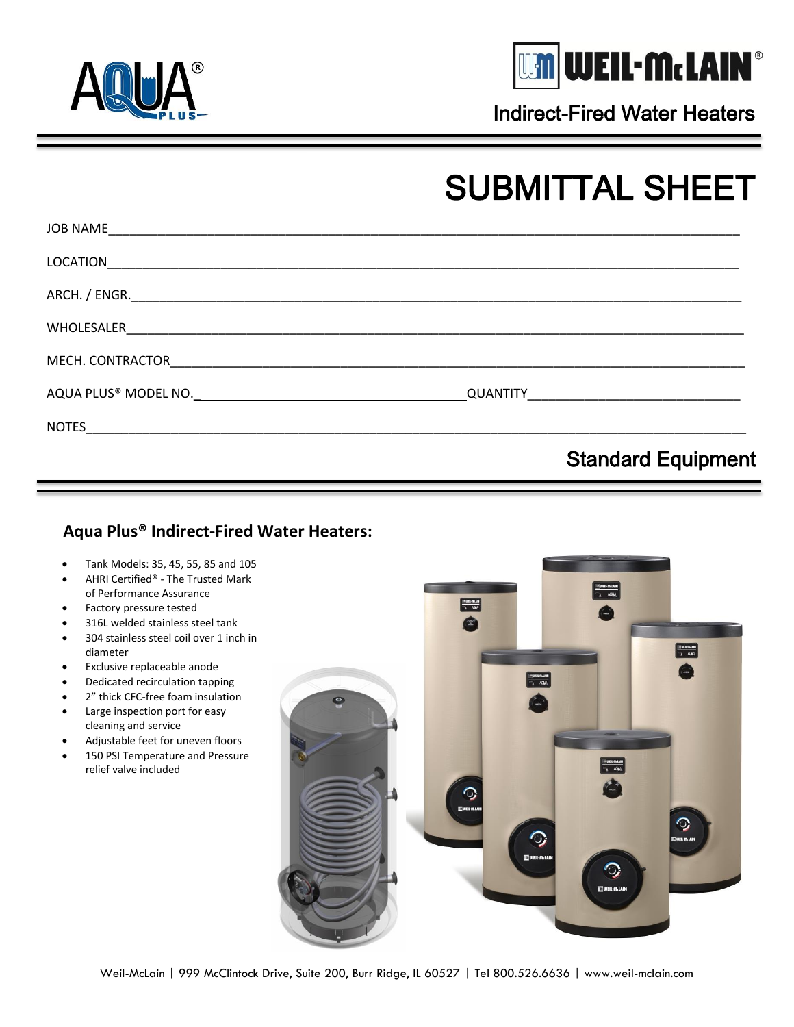



Indirect-Fired Water Heaters

## SUBMITTAL SHEET

|                                                                                                                                                                                                                               | <b>Standard Equipment</b> |  |
|-------------------------------------------------------------------------------------------------------------------------------------------------------------------------------------------------------------------------------|---------------------------|--|
|                                                                                                                                                                                                                               |                           |  |
| AQUA PLUS® MODEL NO. NORTH AND THE RESERVE TO A REPORT OF THE RESERVE TO A REPORT OF THE RESERVE TO A REPORT OF THE RESERVE TO A REPORT OF THE RESERVE TO A REPORT OF THE REPORT OF THE REPORT OF THE REPORT OF THE REPORT OF |                           |  |
|                                                                                                                                                                                                                               |                           |  |
|                                                                                                                                                                                                                               |                           |  |
|                                                                                                                                                                                                                               |                           |  |
|                                                                                                                                                                                                                               |                           |  |
|                                                                                                                                                                                                                               |                           |  |

## **Aqua Plus® Indirect-Fired Water Heaters:**

- Tank Models: 35, 45, 55, 85 and 105
- AHRI Certified® The Trusted Mark of Performance Assurance
- Factory pressure tested
- 316L welded stainless steel tank
- 304 stainless steel coil over 1 inch in diameter
- Exclusive replaceable anode
- Dedicated recirculation tapping
- 2" thick CFC-free foam insulation
- Large inspection port for easy cleaning and service
- Adjustable feet for uneven floors
- 150 PSI Temperature and Pressure relief valve included